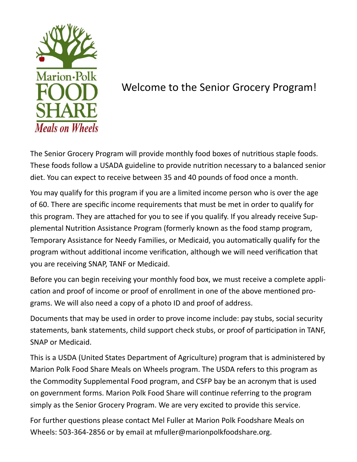

# Welcome to the Senior Grocery Program!

The Senior Grocery Program will provide monthly food boxes of nutritious staple foods. These foods follow a USADA guideline to provide nutrition necessary to a balanced senior diet. You can expect to receive between 35 and 40 pounds of food once a month.

You may qualify for this program if you are a limited income person who is over the age of 60. There are specific income requirements that must be met in order to qualify for this program. They are attached for you to see if you qualify. If you already receive Supplemental Nutrition Assistance Program (formerly known as the food stamp program, Temporary Assistance for Needy Families, or Medicaid, you automatically qualify for the program without additional income verification, although we will need verification that you are receiving SNAP, TANF or Medicaid.

Before you can begin receiving your monthly food box, we must receive a complete application and proof of income or proof of enrollment in one of the above mentioned programs. We will also need a copy of a photo ID and proof of address.

Documents that may be used in order to prove income include: pay stubs, social security statements, bank statements, child support check stubs, or proof of participation in TANF, SNAP or Medicaid.

This is a USDA (United States Department of Agriculture) program that is administered by Marion Polk Food Share Meals on Wheels program. The USDA refers to this program as the Commodity Supplemental Food program, and CSFP bay be an acronym that is used on government forms. Marion Polk Food Share will continue referring to the program simply as the Senior Grocery Program. We are very excited to provide this service.

For further questions please contact Mel Fuller at Marion Polk Foodshare Meals on Wheels: 503-364-2856 or by email at mfuller@marionpolkfoodshare.org.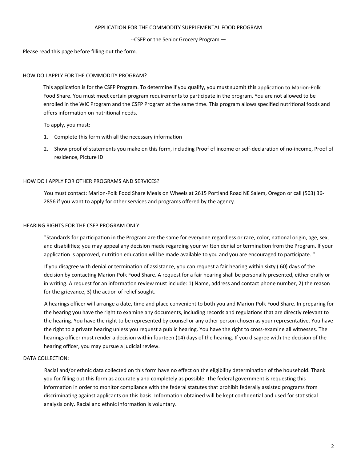### APPLICATION FOR THE COMMODITY SUPPLEMENTAL FOOD PROGRAM

--CSFP or the Senior Grocery Program —

Please read this page before filling out the form.

## HOW DO I APPLY FOR THE COMMODITY PROGRAM?

This application is for the CSFP Program. To determine if you qualify, you must submit this application to Marion-Polk Food Share. You must meet certain program requirements to participate in the program. You are not allowed to be enrolled in the WIC Program and the CSFP Program at the same time. This program allows specified nutritional foods and offers information on nutritional needs.

## To apply, you must:

- 1. Complete this form with all the necessary information
- 2. Show proof of statements you make on this form, including Proof of income or self-declaration of no-income, Proof of residence, Picture ID

## HOW DO I APPLY FOR OTHER PROGRAMS AND SERVICES?

You must contact: Marion-Polk Food Share Meals on Wheels at 2615 Portland Road NE Salem, Oregon or call (503) 36- 2856 if you want to apply for other services and programs offered by the agency.

## HEARING RIGHTS FOR THE CSFP PROGRAM ONLY:

"Standards for participation in the Program are the same for everyone regardless or race, color, national origin, age, sex, and disabilities; you may appeal any decision made regarding your written denial or termination from the Program. If your application is approved, nutrition education will be made available to you and you are encouraged to participate. "

If you disagree with denial or termination of assistance, you can request a fair hearing within sixty (60) days of the decision by contacting Marion-Polk Food Share. A request for a fair hearing shall be personally presented, either orally or in writing. A request for an information review must include: 1) Name, address and contact phone number, 2) the reason for the grievance, 3) the action of relief sought.

A hearings officer will arrange a date, time and place convenient to both you and Marion-Polk Food Share. In preparing for the hearing you have the right to examine any documents, including records and regulations that are directly relevant to the hearing. You have the right to be represented by counsel or any other person chosen as your representative. You have the right to a private hearing unless you request a public hearing. You have the right to cross-examine all witnesses. The hearings officer must render a decision within fourteen (14) days of the hearing. If you disagree with the decision of the hearing officer, you may pursue a judicial review.

## DATA COLLECTION:

Racial and/or ethnic data collected on this form have no effect on the eligibility determination of the household. Thank you for filling out this form as accurately and completely as possible. The federal government is requesting this information in order to monitor compliance with the federal statutes that prohibit federally assisted programs from discriminating against applicants on this basis. Information obtained will be kept confidential and used for statistical analysis only. Racial and ethnic information is voluntary.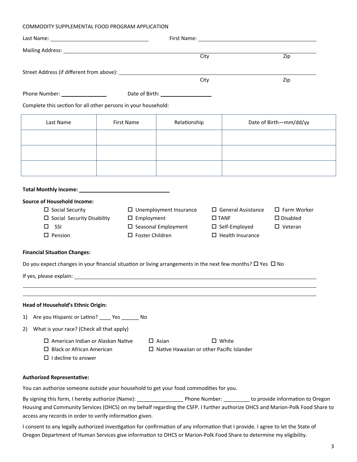#### COMMODITY SUPPLEMENTAL FOOD PROGRAM APPLICATION

|                                                                                                                       |  |                                      | City                                             |                              | $\overline{Zip}$   |  |  |
|-----------------------------------------------------------------------------------------------------------------------|--|--------------------------------------|--------------------------------------------------|------------------------------|--------------------|--|--|
|                                                                                                                       |  |                                      |                                                  |                              |                    |  |  |
|                                                                                                                       |  |                                      | City                                             |                              | Zip                |  |  |
|                                                                                                                       |  | Date of Birth: _____________________ |                                                  |                              |                    |  |  |
| Complete this section for all other persons in your household:                                                        |  |                                      |                                                  |                              |                    |  |  |
| Last Name                                                                                                             |  | <b>First Name</b><br>Relationship    |                                                  | Date of Birth-mm/dd/yy       |                    |  |  |
|                                                                                                                       |  |                                      |                                                  |                              |                    |  |  |
|                                                                                                                       |  |                                      |                                                  |                              |                    |  |  |
|                                                                                                                       |  |                                      |                                                  |                              |                    |  |  |
|                                                                                                                       |  |                                      |                                                  |                              |                    |  |  |
|                                                                                                                       |  |                                      |                                                  |                              |                    |  |  |
|                                                                                                                       |  |                                      |                                                  |                              |                    |  |  |
| <b>Source of Household Income:</b><br>$\Box$ Social Security                                                          |  | $\Box$ Unemployment Insurance        |                                                  | $\square$ General Assistance | $\Box$ Farm Worker |  |  |
| $\Box$ Social Security Disability                                                                                     |  | $\square$ Employment                 |                                                  | $\square$ TANF               | $\square$ Disabled |  |  |
| $\square$ SSI                                                                                                         |  | $\square$ Seasonal Employment        |                                                  | $\square$ Self-Employed      | $\Box$ Veteran     |  |  |
| $\square$ Pension                                                                                                     |  | $\Box$ Foster Children               |                                                  | $\Box$ Health Insurance      |                    |  |  |
| <b>Financial Situation Changes:</b>                                                                                   |  |                                      |                                                  |                              |                    |  |  |
| Do you expect changes in your financial situation or living arrangements in the next few months? $\Box$ Yes $\Box$ No |  |                                      |                                                  |                              |                    |  |  |
|                                                                                                                       |  |                                      |                                                  |                              |                    |  |  |
|                                                                                                                       |  |                                      |                                                  |                              |                    |  |  |
|                                                                                                                       |  |                                      |                                                  |                              |                    |  |  |
| Head of Household's Ethnic Origin:<br>Are you Hispanic or Latino? _____ Yes _______ No<br>1)                          |  |                                      |                                                  |                              |                    |  |  |
| What is your race? (Check all that apply)<br>2)                                                                       |  |                                      |                                                  |                              |                    |  |  |
| $\Box$ American Indian or Alaskan Native                                                                              |  | $\Box$ Asian                         |                                                  | $\Box$ White                 |                    |  |  |
| $\Box$ Black or African American                                                                                      |  |                                      | $\Box$ Native Hawaiian or other Pacific Islander |                              |                    |  |  |
| $\Box$ I decline to answer                                                                                            |  |                                      |                                                  |                              |                    |  |  |
|                                                                                                                       |  |                                      |                                                  |                              |                    |  |  |
| <b>Authorized Representative:</b>                                                                                     |  |                                      |                                                  |                              |                    |  |  |

You can authorize someone outside your household to get your food commodities for you.

By signing this form, I hereby authorize (Name): \_\_\_\_\_\_\_\_\_\_\_\_\_\_\_\_\_\_\_\_Phone Number: \_\_\_\_\_\_\_\_\_\_ to provide information to Oregon Housing and Community Services (OHCS) on my behalf regarding the CSFP. I further authorize OHCS and Marion-Polk Food Share to access any records in order to verify information given.

I consent to any legally authorized investigation for confirmation of any information that I provide. I agree to let the State of Oregon Department of Human Services give information to OHCS or Marion-Polk Food Share to determine my eligibility.